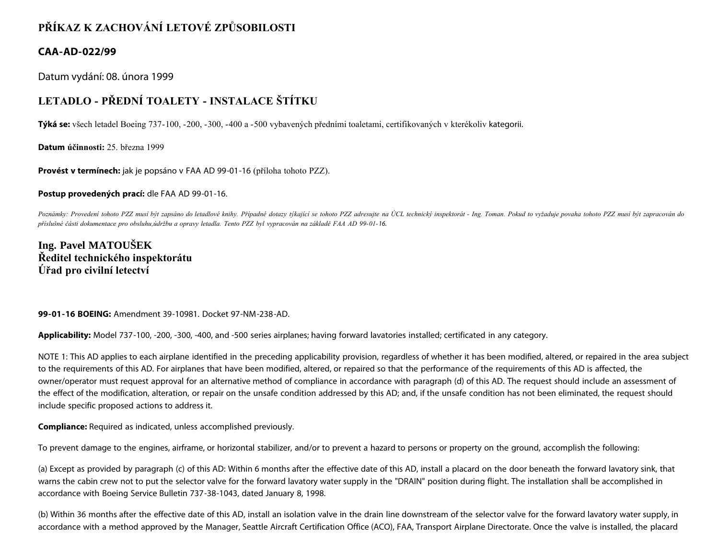## **PŘÍKAZ K ZACHOVÁNÍ LETOVÉ ZPŮSOBILOSTI**

#### **CAA-AD-022/99**

Datum vydání: 08. února 1999

# **LETADLO - PŘEDNÍ TOALETY - INSTALACE ŠTÍTKU**

**Týká se:** všech letadel Boeing 737-100, -200, -300, -400 a -500 vybavených předními toaletami, certifikovaných v kterékoliv kategorii.

**Datum účinnosti:** 25. března 1999

**Provést v termínech:** jak je popsáno v FAA AD 99-01-16 (příloha tohoto PZZ).

**Postup provedených prací:** dle FAA AD 99-01-16.

Poznámky: Provedení tohoto PZZ musí být zapsáno do letadlové knihy. Případné dotazy týkající se tohoto PZZ adresujte na ÚCL technický inspektorát - Ing. Toman. Pokud to vyžaduje povaha tohoto PZZ musí být zapracován do *příslušné části dokumentace pro obsluhu,údržbu a opravy letadla. Tento PZZ byl vypracován na základě FAA AD 99-01-16.*

### **Ing. Pavel MATOUŠEK Ředitel technického inspektorátu Úřad pro civilní letectví**

**99-01-16 BOEING:** Amendment 39-10981. Docket 97-NM-238-AD.

**Applicability:** Model 737-100, -200, -300, -400, and -500 series airplanes; having forward lavatories installed; certificated in any category.

NOTE 1: This AD applies to each airplane identified in the preceding applicability provision, regardless of whether it has been modified, altered, or repaired in the area subject to the requirements of this AD. For airplanes that have been modified, altered, or repaired so that the performance of the requirements of this AD is affected, the owner/operator must request approval for an alternative method of compliance in accordance with paragraph (d) of this AD. The request should include an assessment of the effect of the modification, alteration, or repair on the unsafe condition addressed by this AD; and, if the unsafe condition has not been eliminated, the request should include specific proposed actions to address it.

**Compliance:** Required as indicated, unless accomplished previously.

To prevent damage to the engines, airframe, or horizontal stabilizer, and/or to prevent a hazard to persons or property on the ground, accomplish the following:

(a) Except as provided by paragraph (c) of this AD: Within 6 months after the effective date of this AD, install a placard on the door beneath the forward lavatory sink, that warns the cabin crew not to put the selector valve for the forward lavatory water supply in the "DRAIN" position during flight. The installation shall be accomplished in accordance with Boeing Service Bulletin 737-38-1043, dated January 8, 1998.

(b) Within 36 months after the effective date of this AD, install an isolation valve in the drain line downstream of the selector valve for the forward lavatory water supply, in accordance with a method approved by the Manager, Seattle Aircraft Certification Office (ACO), FAA, Transport Airplane Directorate. Once the valve is installed, the placard